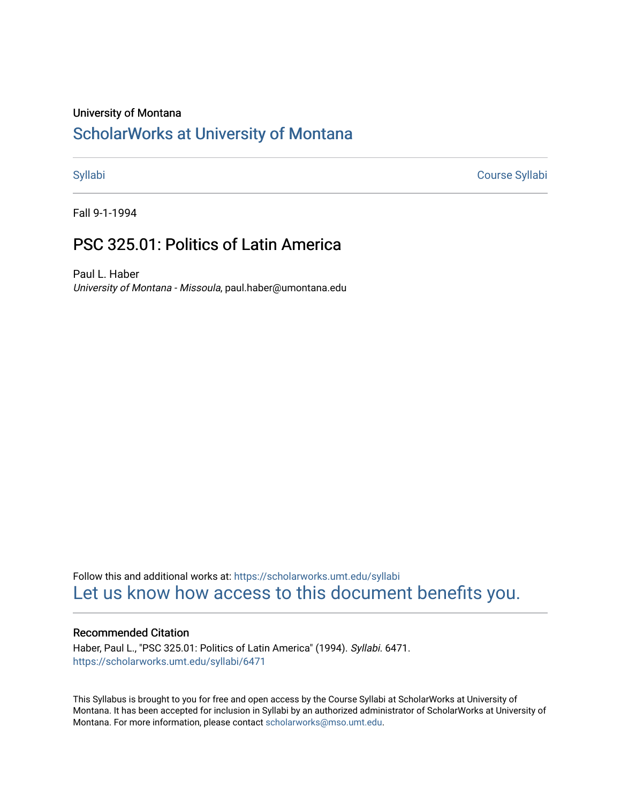# University of Montana

# [ScholarWorks at University of Montana](https://scholarworks.umt.edu/)

[Syllabi](https://scholarworks.umt.edu/syllabi) [Course Syllabi](https://scholarworks.umt.edu/course_syllabi) 

Fall 9-1-1994

# PSC 325.01: Politics of Latin America

Paul L. Haber University of Montana - Missoula, paul.haber@umontana.edu

Follow this and additional works at: [https://scholarworks.umt.edu/syllabi](https://scholarworks.umt.edu/syllabi?utm_source=scholarworks.umt.edu%2Fsyllabi%2F6471&utm_medium=PDF&utm_campaign=PDFCoverPages)  [Let us know how access to this document benefits you.](https://goo.gl/forms/s2rGfXOLzz71qgsB2) 

## Recommended Citation

Haber, Paul L., "PSC 325.01: Politics of Latin America" (1994). Syllabi. 6471. [https://scholarworks.umt.edu/syllabi/6471](https://scholarworks.umt.edu/syllabi/6471?utm_source=scholarworks.umt.edu%2Fsyllabi%2F6471&utm_medium=PDF&utm_campaign=PDFCoverPages)

This Syllabus is brought to you for free and open access by the Course Syllabi at ScholarWorks at University of Montana. It has been accepted for inclusion in Syllabi by an authorized administrator of ScholarWorks at University of Montana. For more information, please contact [scholarworks@mso.umt.edu.](mailto:scholarworks@mso.umt.edu)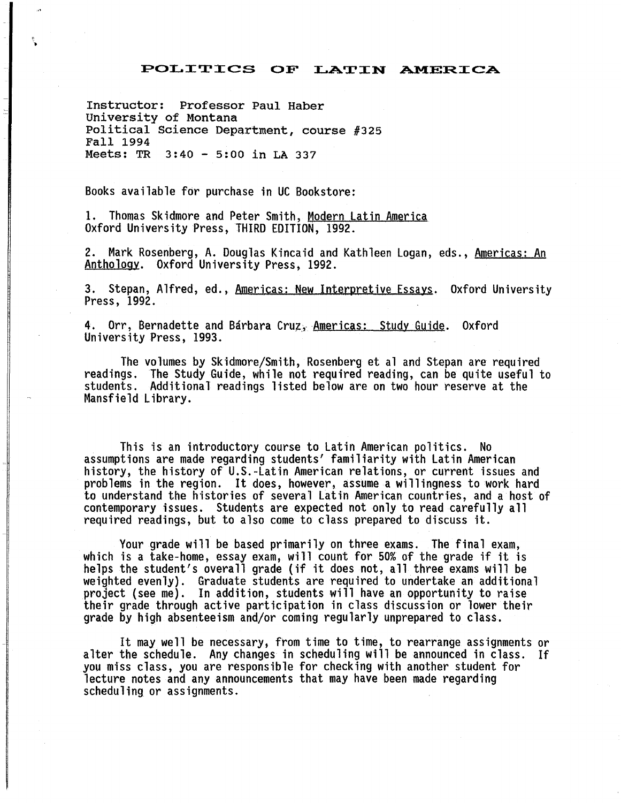# POLITICS OF LATIN AMERICA

Instructor: Professor Paul Haber University of Montana Political Science Department, course #325 Fall 1994 Meets: TR 3:40 - 5:00 in LA 337

Books available for purchase in UC Bookstore:

1. Thomas Skidmore and Peter Smith, Modern Latin America Oxford University Press, THIRD EDITION, 1992.

2. Mark Rosenberg, A. Douglas Kincaid and Kathleen Logan, eds., Americas: An Anthology. Oxford University Press, 1992.

3. Stepan, Alfred, ed., Americas: New Interpretive Essays. Oxford University Press, 1992.

4. Orr, Bernadette and Bárbara Cruz, Americas: Study Guide. Oxford University Press, 1993.

The volumes by Skidmore/Smith, Rosenberg et al and Stepan are required readings. The Study Guide, while not required reading, can be quite useful to students. Additional readings listed below are on two hour reserve at the Mansfield Library.

This is an introductory course to Latin American politics. No assumptions are made regarding students' familiarity with Latin American history, the history of U.S.-Latin American relations, or current issues and problems in the region. It does, however, assume a willingness to work hard to understand the histories of several Latin American countries, and a host of contemporary issues. Students are expected not only to read carefully all required readings, but to also come to class prepared to discuss it.

Your grade will be based primarily on three exams. The final exam, which is a take-home, essay exam, will count for 50% of the grade if it is helps the student's overall grade (if it does not, all three exams will be weighted evenly). Graduate students are required to undertake an additional project {see me). In addition, students will have an opportunity to raise their grade through active participation in class discussion or lower their grade by high absenteeism and/or coming regularly unprepared to class.

It may well be necessary, from time to time, to rearrange assignments or alter the schedule. Any changes in scheduling will be announced in class. you miss class, you are responsible for checking with another student for lecture notes and any announcements that may have been made regarding scheduling or assignments.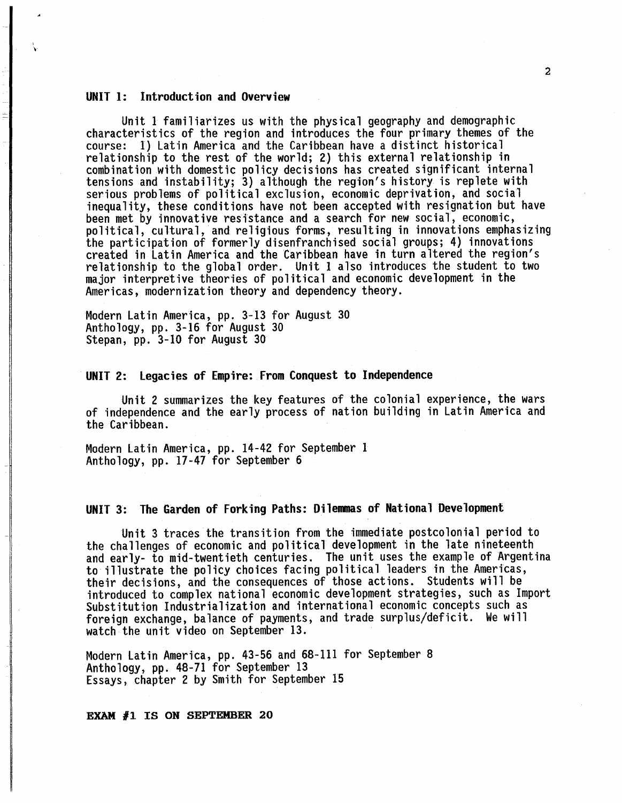### UNIT I: Introduction and Overview

Unit 1 familiarizes us with the physical geography and demographic characteristics of the region and introduces the four primary themes of the course: 1) Latin America and the Caribbean have a distinct historical relationship to the rest of the world; 2) this external relationship in combination with domestic policy decisions has created significant internal tensions and instability; 3) although the region's history is replete with serious problems of political exclusion, economic deprivation, and social inequality, these conditions have not been accepted with resignation but have been met by innovative resistance and a search for new social, economic, political, cultural, and religious forms, resulting in innovations emphasizing the participation of formerly disenfranchised social groups; 4) innovations created in Latin America and the Caribbean have in turn altered the region's relationship to the global order. Unit 1 also introduces the student to two major interpretive theories of political and economic development in the Americas, modernization theory and dependency theory.

Modern Latin America, pp. 3-13 for August 30 Anthology, pp. 3-16 for August 30 Stepan, pp. 3-10 for August 30

UNIT 2: legacies of Empire: From Conquest to Independence

Unit 2 summarizes the key features of the colonial experience, the wars of independence and the early process of nation building in Latin America and the Caribbean.

Modern Latin America, pp. 14-42 for September 1 Anthology, pp. 17-47 for September 6

# UNIT 3: The Garden of Forking Paths: Dilenmas of National Development

Unit 3 traces the transition from the immediate postcolonial period to the challenges of economic and political development in the late nineteenth and early- to mid-twentieth centuries. The unit uses the example of Argentina to illustrate the policy choices facing political leaders in the Americas, their decisions, and the consequences of those actions. Students will be Substitution Industrialization and international economic concepts such as foreign exchange, balance of payments, and trade surplus/deficit. We will watch the unit video on September 13.

Modern Latin America, pp. 43-56 and 68-111 for September 8 Anthology, pp. 48-71 for September 13 Essays, chapter 2 by Smith for September 15

EXAM #1 IS ON SEPTEMBER 20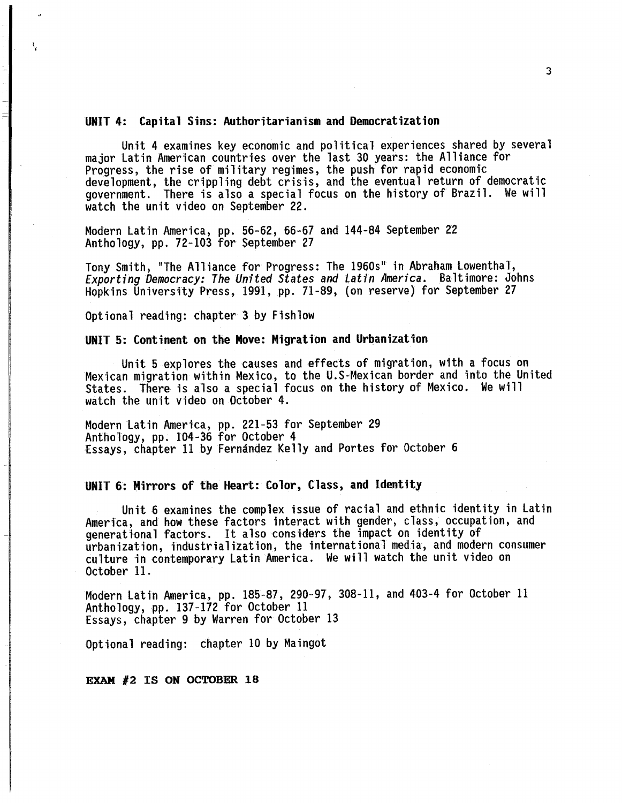#### UNIT 4: Capital Sins: Authoritarianism and Democratization

Unit 4 examines key economic and political experiences shared by several major Latin American countries over the last 30 years: the Alliance for Progress, the rise of military regimes, the push for rapid economic development, the crippling debt crisis, and the eventual return of democratic government. There is also a special focus on the history of Brazil. We will watch the unit video on September 22.

Modern Latin America, pp. 56-62, 66-67 and 144-84 September 22 Anthology, pp. 72-103 for September 27

Tony Smith, "The Alliance for Progress: The 1960s" in Abraham Lowenthal, *Exporting Democracy: The United States and Latin America.* Baltimore: Johns Hopkins University Press, 1991, pp. 71-89, (on reserve) for September 27

Optional reading: chapter 3 by Fishlow

i •

#### UNIT 5: Continent on the Move: Migration and Urbanization

Unit 5 explores the causes and effects of migration, with a focus on Mexican migration within Mexico, to the U.S-Mexican border and into the United States. There is also a special focus on the history of Mexico. We will watch the unit video on October 4.

Modern Latin America, pp. 221-53 for September 29 Anthology, pp. 104-36 for October 4 Essays, chapter 11 by Fernández Kelly and Portes for October 6

# UNIT 6: Mirrors of the Heart: Color, Class, and Identity

Unit 6 examines the complex issue of racial and ethnic identity in Latin America, and how these factors interact with gender, class, occupation, and generational factors. It also considers the impact on identity of urbanization, industrialization, the international media, and modern consumer culture in contemporary Latin America. We will watch the unit video on October 11.

Modern Latin America, pp. 185-87, 290-97, 308-11, and 403-4 for October 11 Anthology, pp. 137-172 for October 11 Essays, chapter 9 by Warren for October 13

Optional reading: chapter 10 by Maingot

EXAM #2 IS ON OCTOBER 18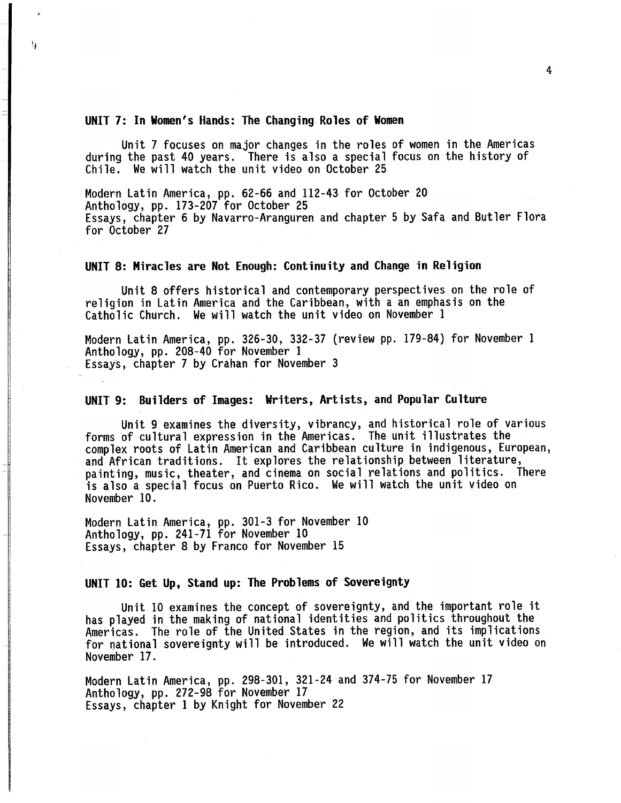### UNIT 7: In Women's Hands: The Changing Roles of Women

 $\overline{\mathcal{N}}$ 

Unit 7 focuses on major changes in the roles of women in the Americas during the past 40 years. There is also a special focus on the history of Chile. We will watch the unit video on October 25

Modern Latin America, pp. 62-66 and 112-43 for October 20 Anthology, pp. 173-207 for October 25 Essays, chapter 6 by Navarro-Aranguren and chapter 5 by Safa and Butler Flora for October 27

### UNIT 8: Miracles are Not Enough: Continuity and Change in Religion

Unit 8 offers historical and contemporary perspectives on the role of religion in Latin America and the Caribbean, with a an emphasis on the Catholic Church. We will watch the unit video on November 1

Modern Latin America, pp. 326-30, 332-37 (review pp. 179-84) for November 1 Anthology, pp. 208-40 for November 1 Essays, chapter 7 by Grahan for November 3

### UNIT 9: Builders of Images: Writers, Artists, and Popular Culture

Unit 9 examines the diversity, vibrancy, and historical role of various forms of cultural expression in the Americas. The unit illustrates the<br>complex roots of Latin American and Caribbean culture in indigenous, European, and African traditions. It explores the relationship between literature, painting, music, theater, and cinema on social relations and politics. There is also a special focus on Puerto Rico. We will watch the unit video on November 10.

Modern Latin America, pp. 301-3 for November 10 Anthology, pp. 241-71 for November 10 Essays, chapter 8 by Franco for November 15

# UNIT 10: Get Up, Stand up: The Problems of Sovereignty

Unit 10 examines the concept of sovereignty, and the important role it has played in the making of national identities and politics throughout the for national sovereignty will be introduced. We will watch the unit video on November 17.

Modern Latin America, pp. 298-301, 321-24 and 374-75 for November 17 Anthology, pp. 272-98 for November 17 Essays, chapter 1 by Knight for November 22